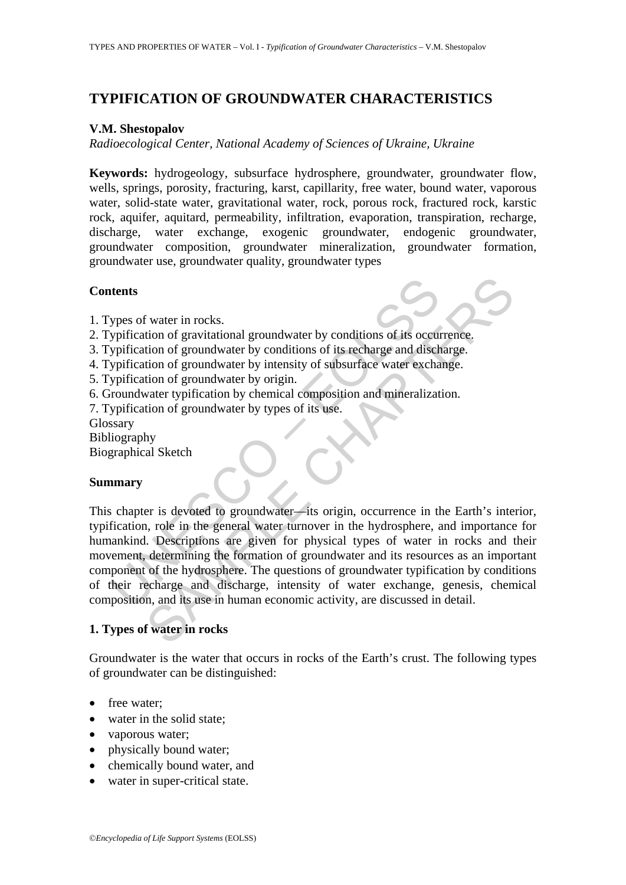# **TYPIFICATION OF GROUNDWATER CHARACTERISTICS**

### **V.M. Shestopalov**

*Radioecological Center, National Academy of Sciences of Ukraine, Ukraine*

**Keywords:** hydrogeology, subsurface hydrosphere, groundwater, groundwater flow, wells, springs, porosity, fracturing, karst, capillarity, free water, bound water, vaporous water, solid-state water, gravitational water, rock, porous rock, fractured rock, karstic rock, aquifer, aquitard, permeability, infiltration, evaporation, transpiration, recharge, discharge, water exchange, exogenic groundwater, endogenic groundwater, groundwater composition, groundwater mineralization, groundwater formation, groundwater use, groundwater quality, groundwater types

#### **Contents**

- 1. Types of water in rocks.
- 2. Typification of gravitational groundwater by conditions of its occurrence.
- 3. Typification of groundwater by conditions of its recharge and discharge.
- 4. Typification of groundwater by intensity of subsurface water exchange.
- 5. Typification of groundwater by origin.
- 6. Groundwater typification by chemical composition and mineralization.
- 7. Typification of groundwater by types of its use.
- Glossary

Bibliography

Biographical Sketch

#### **Summary**

**Example 15**<br>
Sypes of water in rocks.<br>
Syperication of gravitational groundwater by conditions of its occur<br>
syperication of groundwater by conditions of its recharge and discly<br>
syperication of groundwater by origin.<br>
Sy The value in rocks and a groundwater by conditions of its occurrence.<br>
tion of groundwater by conditions of its ecclurence.<br>
tion of groundwater by intensity of subsurface water exchange.<br>
tion of groundwater by intensity This chapter is devoted to groundwater—its origin, occurrence in the Earth's interior, typification, role in the general water turnover in the hydrosphere, and importance for humankind. Descriptions are given for physical types of water in rocks and their movement, determining the formation of groundwater and its resources as an important component of the hydrosphere. The questions of groundwater typification by conditions of their recharge and discharge, intensity of water exchange, genesis, chemical composition, and its use in human economic activity, are discussed in detail.

### **1. Types of water in rocks**

Groundwater is the water that occurs in rocks of the Earth's crust. The following types of groundwater can be distinguished:

- free water:
- water in the solid state;
- vaporous water;
- physically bound water;
- chemically bound water, and
- water in super-critical state.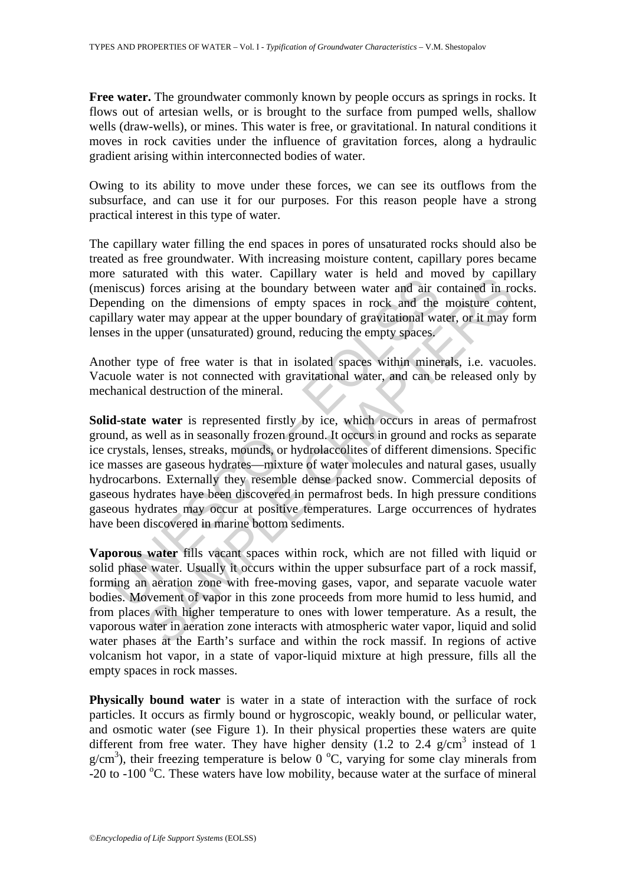**Free water.** The groundwater commonly known by people occurs as springs in rocks. It flows out of artesian wells, or is brought to the surface from pumped wells, shallow wells (draw-wells), or mines. This water is free, or gravitational. In natural conditions it moves in rock cavities under the influence of gravitation forces, along a hydraulic gradient arising within interconnected bodies of water.

Owing to its ability to move under these forces, we can see its outflows from the subsurface, and can use it for our purposes. For this reason people have a strong practical interest in this type of water.

The capillary water filling the end spaces in pores of unsaturated rocks should also be treated as free groundwater. With increasing moisture content, capillary pores became more saturated with this water. Capillary water is held and moved by capillary (meniscus) forces arising at the boundary between water and air contained in rocks. Depending on the dimensions of empty spaces in rock and the moisture content, capillary water may appear at the upper boundary of gravitational water, or it may form lenses in the upper (unsaturated) ground, reducing the empty spaces.

Another type of free water is that in isolated spaces within minerals, i.e. vacuoles. Vacuole water is not connected with gravitational water, and can be released only by mechanical destruction of the mineral.

Solution with the water. Captury water is the boundary between water and air consinuous forces arising at the boundary between water and air condity evaluation of the dilary water may appear at the upper boundary of gravit The music was well. Capitary water is neat and movel by capital<br>forces arising at the boundary between water and air contained in ro<br>on the dimensions of empty spaces in rock and the moisture con<br>ater may appear at the upp **Solid-state water** is represented firstly by ice, which occurs in areas of permafrost ground, as well as in seasonally frozen ground. It occurs in ground and rocks as separate ice crystals, lenses, streaks, mounds, or hydrolaccolites of different dimensions. Specific ice masses are gaseous hydrates—mixture of water molecules and natural gases, usually hydrocarbons. Externally they resemble dense packed snow. Commercial deposits of gaseous hydrates have been discovered in permafrost beds. In high pressure conditions gaseous hydrates may occur at positive temperatures. Large occurrences of hydrates have been discovered in marine bottom sediments.

**Vaporous water** fills vacant spaces within rock, which are not filled with liquid or solid phase water. Usually it occurs within the upper subsurface part of a rock massif, forming an aeration zone with free-moving gases, vapor, and separate vacuole water bodies. Movement of vapor in this zone proceeds from more humid to less humid, and from places with higher temperature to ones with lower temperature. As a result, the vaporous water in aeration zone interacts with atmospheric water vapor, liquid and solid water phases at the Earth's surface and within the rock massif. In regions of active volcanism hot vapor, in a state of vapor-liquid mixture at high pressure, fills all the empty spaces in rock masses.

**Physically bound water** is water in a state of interaction with the surface of rock particles. It occurs as firmly bound or hygroscopic, weakly bound, or pellicular water, and osmotic water (see Figure 1). In their physical properties these waters are quite different from free water. They have higher density  $(1.2 \text{ to } 2.4 \text{ g/cm}^3)$  instead of 1  $g/cm<sup>3</sup>$ ), their freezing temperature is below 0 °C, varying for some clay minerals from -20 to -100 °C. These waters have low mobility, because water at the surface of mineral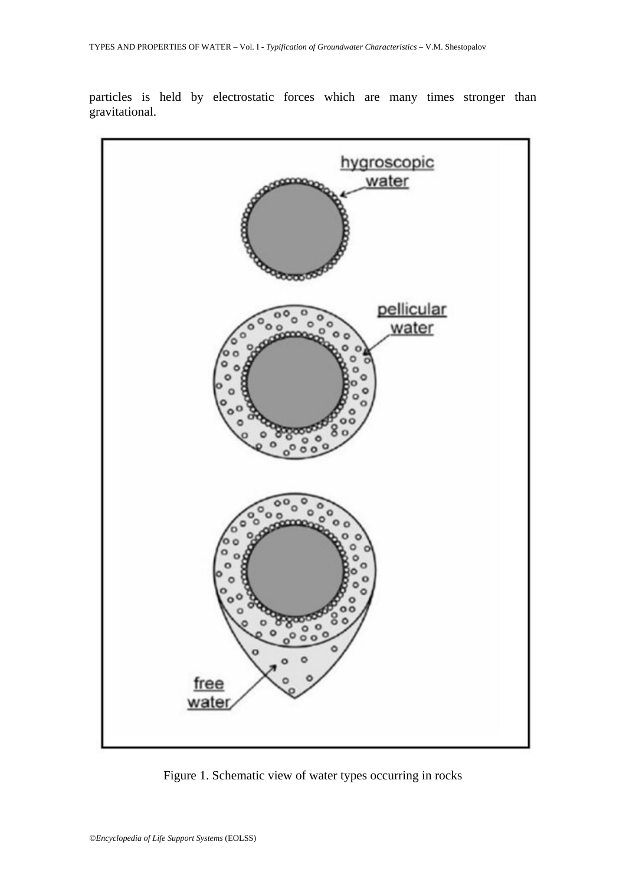particles is held by electrostatic forces which are many times stronger than gravitational.



Figure 1. Schematic view of water types occurring in rocks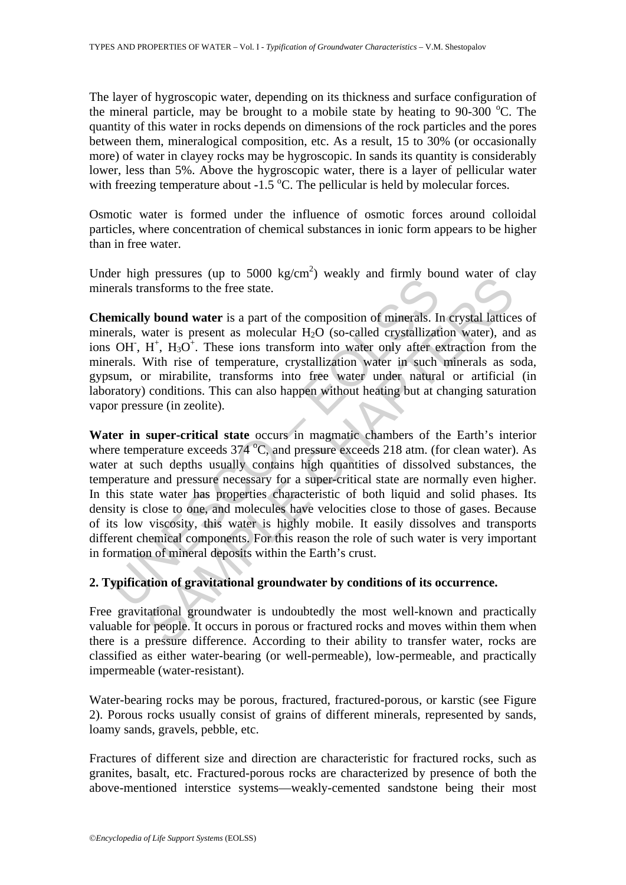The layer of hygroscopic water, depending on its thickness and surface configuration of the mineral particle, may be brought to a mobile state by heating to  $90-300$  °C. The quantity of this water in rocks depends on dimensions of the rock particles and the pores between them, mineralogical composition, etc. As a result, 15 to 30% (or occasionally more) of water in clayey rocks may be hygroscopic. In sands its quantity is considerably lower, less than 5%. Above the hygroscopic water, there is a layer of pellicular water with freezing temperature about  $-1.5$  °C. The pellicular is held by molecular forces.

Osmotic water is formed under the influence of osmotic forces around colloidal particles, where concentration of chemical substances in ionic form appears to be higher than in free water.

Under high pressures (up to 5000 kg/cm<sup>2</sup>) weakly and firmly bound water of clay minerals transforms to the free state.

**Chemically bound water** is a part of the composition of minerals. In crystal lattices of minerals, water is present as molecular  $H_2O$  (so-called crystallization water), and as ions OH,  $H^+$ ,  $H_3O^+$ . These ions transform into water only after extraction from the minerals. With rise of temperature, crystallization water in such minerals as soda, gypsum, or mirabilite, transforms into free water under natural or artificial (in laboratory) conditions. This can also happen without heating but at changing saturation vapor pressure (in zeolite).

Et may pressure to the free state.<br>
Including bound water is a part of the composition of minerals. In<br>
erals transforms to the free state.<br>
OHT, H<sup>+</sup>, H<sub>3</sub>O<sup>+</sup>. These ions transform into water only after erals.<br>
SWINE ris ressues (up to soow regarn) weakly and minity bound water or<br> **photon water** is a part of the composition of minerals. In crystal lattice<br> **avalidation**: **S** and the composition of minerals. In crystal lattice<br> **H**<sup>+</sup>, H<sub></sub> **Water in super-critical state** occurs in magmatic chambers of the Earth's interior where temperature exceeds  $374^{\circ}$ C, and pressure exceeds 218 atm. (for clean water). As water at such depths usually contains high quantities of dissolved substances, the temperature and pressure necessary for a super-critical state are normally even higher. In this state water has properties characteristic of both liquid and solid phases. Its density is close to one, and molecules have velocities close to those of gases. Because of its low viscosity, this water is highly mobile. It easily dissolves and transports different chemical components. For this reason the role of such water is very important in formation of mineral deposits within the Earth's crust.

# **2. Typification of gravitational groundwater by conditions of its occurrence.**

Free gravitational groundwater is undoubtedly the most well-known and practically valuable for people. It occurs in porous or fractured rocks and moves within them when there is a pressure difference. According to their ability to transfer water, rocks are classified as either water-bearing (or well-permeable), low-permeable, and practically impermeable (water-resistant).

Water-bearing rocks may be porous, fractured, fractured-porous, or karstic (see Figure 2). Porous rocks usually consist of grains of different minerals, represented by sands, loamy sands, gravels, pebble, etc.

Fractures of different size and direction are characteristic for fractured rocks, such as granites, basalt, etc. Fractured-porous rocks are characterized by presence of both the above-mentioned interstice systems—weakly-cemented sandstone being their most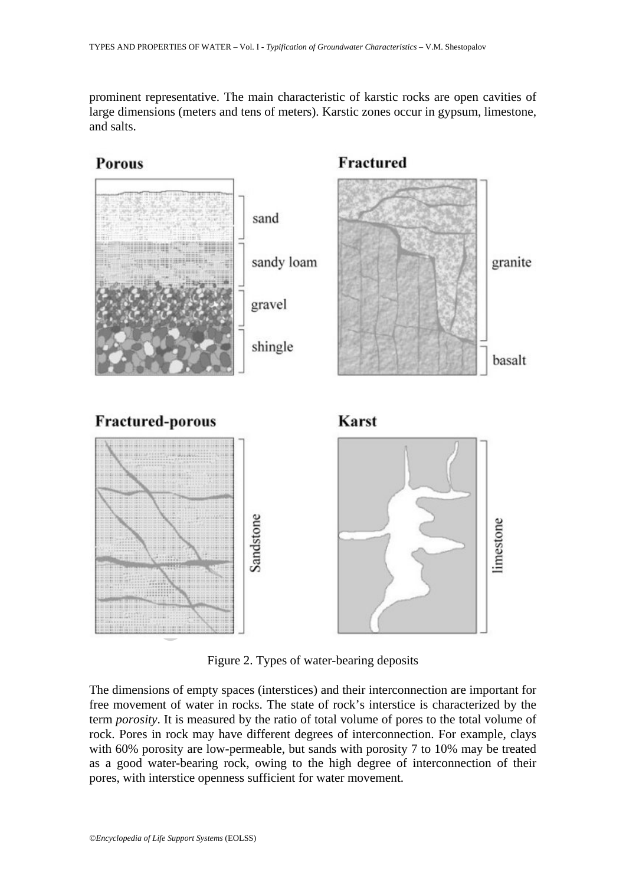prominent representative. The main characteristic of karstic rocks are open cavities of large dimensions (meters and tens of meters). Karstic zones occur in gypsum, limestone, and salts.



Figure 2. Types of water-bearing deposits

The dimensions of empty spaces (interstices) and their interconnection are important for free movement of water in rocks. The state of rock's interstice is characterized by the term *porosity*. It is measured by the ratio of total volume of pores to the total volume of rock. Pores in rock may have different degrees of interconnection. For example, clays with 60% porosity are low-permeable, but sands with porosity 7 to 10% may be treated as a good water-bearing rock, owing to the high degree of interconnection of their pores, with interstice openness sufficient for water movement.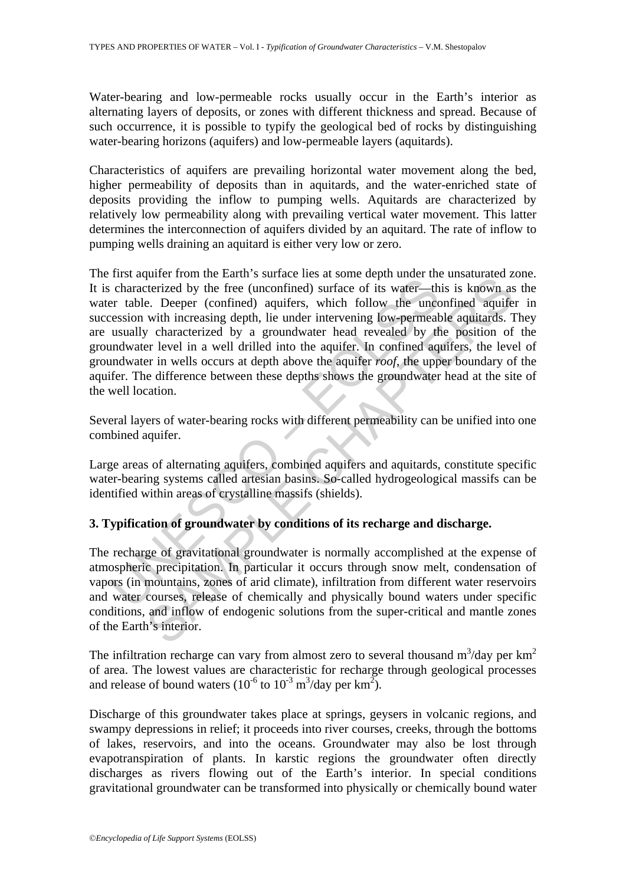Water-bearing and low-permeable rocks usually occur in the Earth's interior as alternating layers of deposits, or zones with different thickness and spread. Because of such occurrence, it is possible to typify the geological bed of rocks by distinguishing water-bearing horizons (aquifers) and low-permeable layers (aquitards).

Characteristics of aquifers are prevailing horizontal water movement along the bed, higher permeability of deposits than in aquitards, and the water-enriched state of deposits providing the inflow to pumping wells. Aquitards are characterized by relatively low permeability along with prevailing vertical water movement. This latter determines the interconnection of aquifers divided by an aquitard. The rate of inflow to pumping wells draining an aquitard is either very low or zero.

the user of the matter in states that is under the durated by the free (unconfined) surface of its water—the r table. Deeper (confined) aquifers, which follow the uncession with increasing depth, lie under intervening low planet non the claim is stance thes at some acplu undepticant and  $\alpha$ . Deeper (confined) autifers, which follow the unconfined aquifers, which follow the unconfined aquifers, which follow the unconfined aquifacts. 1<br>e. De The first aquifer from the Earth's surface lies at some depth under the unsaturated zone. It is characterized by the free (unconfined) surface of its water—this is known as the water table. Deeper (confined) aquifers, which follow the unconfined aquifer in succession with increasing depth, lie under intervening low-permeable aquitards. They are usually characterized by a groundwater head revealed by the position of the groundwater level in a well drilled into the aquifer. In confined aquifers, the level of groundwater in wells occurs at depth above the aquifer *roof*, the upper boundary of the aquifer. The difference between these depths shows the groundwater head at the site of the well location.

Several layers of water-bearing rocks with different permeability can be unified into one combined aquifer.

Large areas of alternating aquifers, combined aquifers and aquitards, constitute specific water-bearing systems called artesian basins. So-called hydrogeological massifs can be identified within areas of crystalline massifs (shields).

## **3. Typification of groundwater by conditions of its recharge and discharge.**

The recharge of gravitational groundwater is normally accomplished at the expense of atmospheric precipitation. In particular it occurs through snow melt, condensation of vapors (in mountains, zones of arid climate), infiltration from different water reservoirs and water courses, release of chemically and physically bound waters under specific conditions, and inflow of endogenic solutions from the super-critical and mantle zones of the Earth's interior.

The infiltration recharge can vary from almost zero to several thousand  $m^3/day$  per  $km^2$ of area. The lowest values are characteristic for recharge through geological processes and release of bound waters  $(10^{-6} \text{ to } 10^{-3} \text{ m}^3/\text{day per km}^2)$ .

Discharge of this groundwater takes place at springs, geysers in volcanic regions, and swampy depressions in relief; it proceeds into river courses, creeks, through the bottoms of lakes, reservoirs, and into the oceans. Groundwater may also be lost through evapotranspiration of plants. In karstic regions the groundwater often directly discharges as rivers flowing out of the Earth's interior. In special conditions gravitational groundwater can be transformed into physically or chemically bound water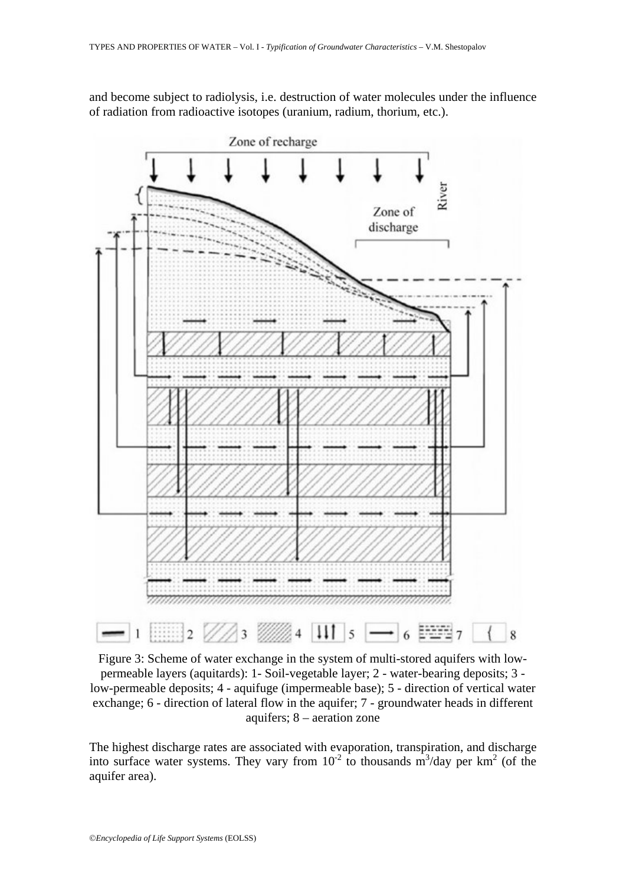and become subject to radiolysis, i.e. destruction of water molecules under the influence of radiation from radioactive isotopes (uranium, radium, thorium, etc.).



Figure 3: Scheme of water exchange in the system of multi-stored aquifers with lowpermeable layers (aquitards): 1- Soil-vegetable layer; 2 - water-bearing deposits; 3 low-permeable deposits; 4 - aquifuge (impermeable base); 5 - direction of vertical water exchange; 6 - direction of lateral flow in the aquifer; 7 - groundwater heads in different aquifers; 8 – aeration zone

The highest discharge rates are associated with evaporation, transpiration, and discharge into surface water systems. They vary from  $10^{-2}$  to thousands m<sup>3</sup>/day per km<sup>2</sup> (of the aquifer area).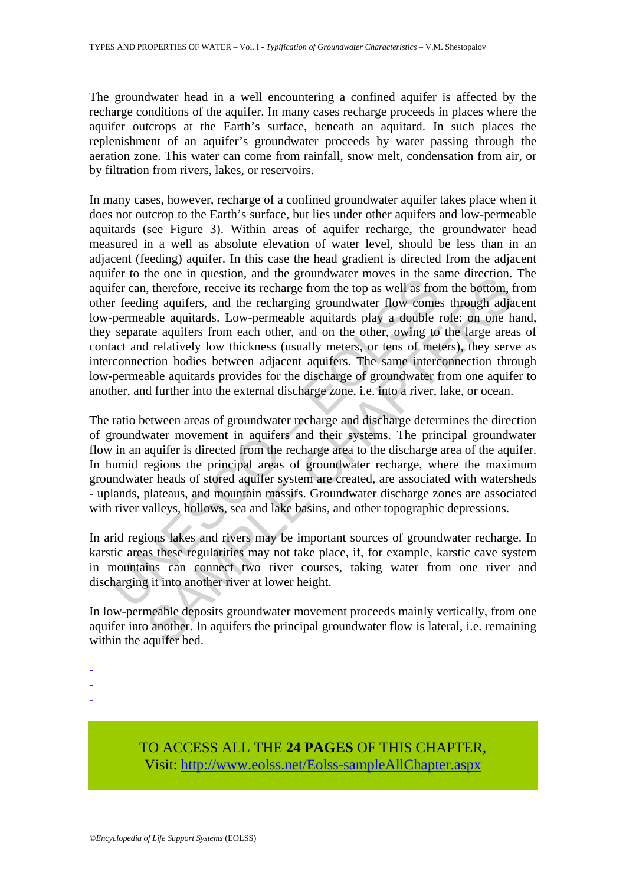The groundwater head in a well encountering a confined aquifer is affected by the recharge conditions of the aquifer. In many cases recharge proceeds in places where the aquifer outcrops at the Earth's surface, beneath an aquitard. In such places the replenishment of an aquifer's groundwater proceeds by water passing through the aeration zone. This water can come from rainfall, snow melt, condensation from air, or by filtration from rivers, lakes, or reservoirs.

For the one of equestion, and the goodinary and experimental into the secure of the can, therefore, receive its recharge from the top as well as from r feeding aquiters, and the recharging groundwater flow come-<br>permeable Inc. on in quassion, and ine groundwater invoves in the same direction.<br>In, therefore, receive its recharge from the top as well as from the bottom, therefore, receive its recharge from the top as well as from the bottom, In many cases, however, recharge of a confined groundwater aquifer takes place when it does not outcrop to the Earth's surface, but lies under other aquifers and low-permeable aquitards (see Figure 3). Within areas of aquifer recharge, the groundwater head measured in a well as absolute elevation of water level, should be less than in an adjacent (feeding) aquifer. In this case the head gradient is directed from the adjacent aquifer to the one in question, and the groundwater moves in the same direction. The aquifer can, therefore, receive its recharge from the top as well as from the bottom, from other feeding aquifers, and the recharging groundwater flow comes through adjacent low-permeable aquitards. Low-permeable aquitards play a double role: on one hand, they separate aquifers from each other, and on the other, owing to the large areas of contact and relatively low thickness (usually meters, or tens of meters), they serve as interconnection bodies between adjacent aquifers. The same interconnection through low-permeable aquitards provides for the discharge of groundwater from one aquifer to another, and further into the external discharge zone, i.e. into a river, lake, or ocean.

The ratio between areas of groundwater recharge and discharge determines the direction of groundwater movement in aquifers and their systems. The principal groundwater flow in an aquifer is directed from the recharge area to the discharge area of the aquifer. In humid regions the principal areas of groundwater recharge, where the maximum groundwater heads of stored aquifer system are created, are associated with watersheds - uplands, plateaus, and mountain massifs. Groundwater discharge zones are associated with river valleys, hollows, sea and lake basins, and other topographic depressions.

In arid regions lakes and rivers may be important sources of groundwater recharge. In karstic areas these regularities may not take place, if, for example, karstic cave system in mountains can connect two river courses, taking water from one river and discharging it into another river at lower height.

In low-permeable deposits groundwater movement proceeds mainly vertically, from one aquifer into another. In aquifers the principal groundwater flow is lateral, i.e. remaining within the aquifer bed.

- -
- -
- -

TO ACCESS ALL THE **24 PAGES** OF THIS CHAPTER, Visit: [http://www.eolss.net/Eolss-sampleAllChapter.aspx](https://www.eolss.net/ebooklib/sc_cart.aspx?File=E2-03-01-04)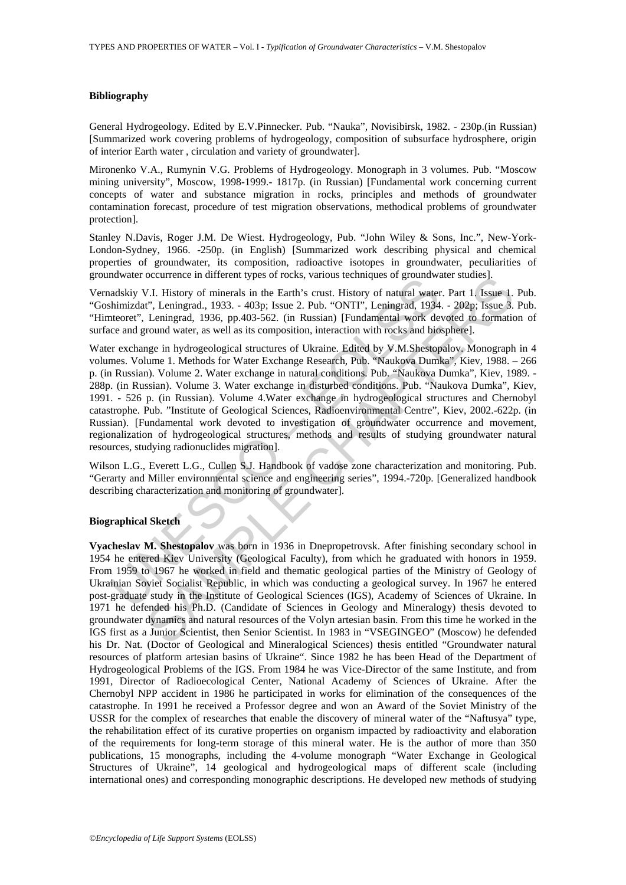#### **Bibliography**

General Hydrogeology. Edited by E.V.Pinnecker. Pub. "Nauka", Novisibirsk, 1982. - 230p.(in Russian) [Summarized work covering problems of hydrogeology, composition of subsurface hydrosphere, origin of interior Earth water , circulation and variety of groundwater].

Mironenko V.A., Rumynin V.G. Problems of Hydrogeology. Monograph in 3 volumes. Pub. "Moscow mining university", Moscow, 1998-1999.- 1817p. (in Russian) [Fundamental work concerning current concepts of water and substance migration in rocks, principles and methods of groundwater contamination forecast, procedure of test migration observations, methodical problems of groundwater protection].

Stanley N.Davis, Roger J.M. De Wiest. Hydrogeology, Pub. "John Wiley & Sons, Inc.", New-York-London-Sydney, 1966. -250p. (in English) [Summarized work describing physical and chemical properties of groundwater, its composition, radioactive isotopes in groundwater, peculiarities of groundwater occurrence in different types of rocks, various techniques of groundwater studies].

Vernadskiy V.I. History of minerals in the Earth's crust. History of natural water. Part 1. Issue 1. Pub. "Goshimizdat", Leningrad., 1933. - 403p; Issue 2. Pub. "ONTI", Leningrad, 1934. - 202p; Issue 3. Pub. "Himteoret", Leningrad, 1936, pp.403-562. (in Russian) [Fundamental work devoted to formation of surface and ground water, as well as its composition, interaction with rocks and biosphere].

Internet of Central method (Spiral method (Spiral method) and the matrix is roust. History of ministal with thimizdat", Leningrad, 1933. - 403p; Issue 2. Pub. "ONTI", Leningrad, 1934<br>theoret", Leningrad, 1933. - 403p; Issu occurrence in univertals in the Earth's crust. History of natural water. Part 1, Issue 1,<br>
V. History of minerals in the Earth's crust. History of natural water. Part 1, Issue 3, Leningrad, 1933. - 403p; Issue 2. Pub. "ONT Water exchange in hydrogeological structures of Ukraine. Edited by V.M.Shestopalov. Monograph in 4 volumes. Volume 1. Methods for Water Exchange Research, Pub. "Naukova Dumka", Kiev, 1988. – 266 p. (in Russian). Volume 2. Water exchange in natural conditions. Pub. "Naukova Dumka", Kiev, 1989. - 288p. (in Russian). Volume 3. Water exchange in disturbed conditions. Pub. "Naukova Dumka", Kiev, 1991. - 526 p. (in Russian). Volume 4.Water exchange in hydrogeological structures and Chernobyl catastrophe. Pub. "Institute of Geological Sciences, Radioenvironmental Centre", Kiev, 2002.-622p. (in Russian). [Fundamental work devoted to investigation of groundwater occurrence and movement, regionalization of hydrogeological structures, methods and results of studying groundwater natural resources, studying radionuclides migration].

Wilson L.G., Everett L.G., Cullen S.J. Handbook of vadose zone characterization and monitoring. Pub. "Gerarty and Miller environmental science and engineering series", 1994.-720p. [Generalized handbook describing characterization and monitoring of groundwater].

#### **Biographical Sketch**

**Vyacheslav M. Shestopalov** was born in 1936 in Dnepropetrovsk. After finishing secondary school in 1954 he entered Kiev University (Geological Faculty), from which he graduated with honors in 1959. From 1959 to 1967 he worked in field and thematic geological parties of the Ministry of Geology of Ukrainian Soviet Socialist Republic, in which was conducting a geological survey. In 1967 he entered post-graduate study in the Institute of Geological Sciences (IGS), Academy of Sciences of Ukraine. In 1971 he defended his Ph.D. (Candidate of Sciences in Geology and Mineralogy) thesis devoted to groundwater dynamics and natural resources of the Volyn artesian basin. From this time he worked in the IGS first as a Junior Scientist, then Senior Scientist. In 1983 in "VSEGINGEO" (Moscow) he defended his Dr. Nat. (Doctor of Geological and Mineralogical Sciences) thesis entitled "Groundwater natural resources of platform artesian basins of Ukraine". Since 1982 he has been Head of the Department of Hydrogeological Problems of the IGS. From 1984 he was Vice-Director of the same Institute, and from 1991, Director of Radioecological Center, National Academy of Sciences of Ukraine. After the Chernobyl NPP accident in 1986 he participated in works for elimination of the consequences of the catastrophe. In 1991 he received a Professor degree and won an Award of the Soviet Ministry of the USSR for the complex of researches that enable the discovery of mineral water of the "Naftusya" type, the rehabilitation effect of its curative properties on organism impacted by radioactivity and elaboration of the requirements for long-term storage of this mineral water. He is the author of more than 350 publications, 15 monographs, including the 4-volume monograph "Water Exchange in Geological Structures of Ukraine", 14 geological and hydrogeological maps of different scale (including international ones) and corresponding monographic descriptions. He developed new methods of studying